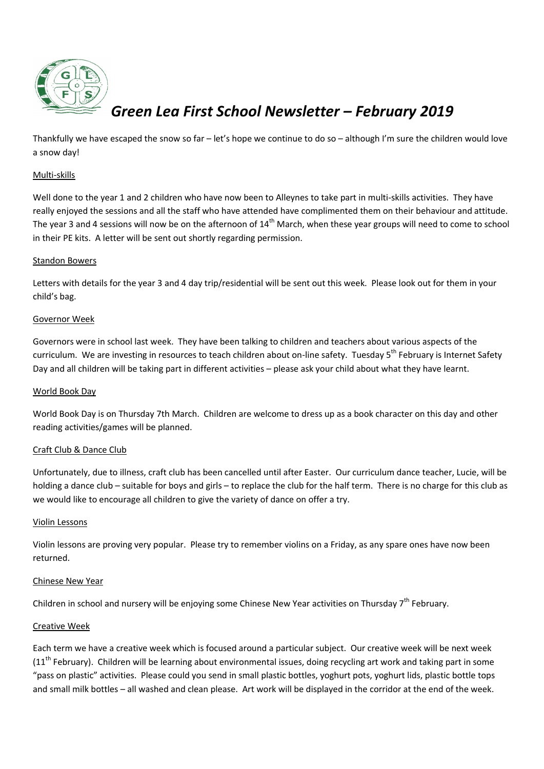

# *Green Lea First School Newsletter – February 2019*

Thankfully we have escaped the snow so far  $-$  let's hope we continue to do so  $-$  although I'm sure the children would love a snow day!

### Multi-skills

Well done to the year 1 and 2 children who have now been to Alleynes to take part in multi-skills activities. They have really enjoyed the sessions and all the staff who have attended have complimented them on their behaviour and attitude. The year 3 and 4 sessions will now be on the afternoon of  $14<sup>th</sup>$  March, when these year groups will need to come to school in their PE kits. A letter will be sent out shortly regarding permission.

## Standon Bowers

Letters with details for the year 3 and 4 day trip/residential will be sent out this week. Please look out for them in your child's bag.

## Governor Week

Governors were in school last week. They have been talking to children and teachers about various aspects of the curriculum. We are investing in resources to teach children about on-line safety. Tuesday 5<sup>th</sup> February is Internet Safety Day and all children will be taking part in different activities – please ask your child about what they have learnt.

#### World Book Day

World Book Day is on Thursday 7th March. Children are welcome to dress up as a book character on this day and other reading activities/games will be planned.

#### Craft Club & Dance Club

Unfortunately, due to illness, craft club has been cancelled until after Easter. Our curriculum dance teacher, Lucie, will be holding a dance club – suitable for boys and girls – to replace the club for the half term. There is no charge for this club as we would like to encourage all children to give the variety of dance on offer a try.

#### Violin Lessons

Violin lessons are proving very popular. Please try to remember violins on a Friday, as any spare ones have now been returned.

#### Chinese New Year

Children in school and nursery will be enjoying some Chinese New Year activities on Thursday 7<sup>th</sup> February.

#### Creative Week

Each term we have a creative week which is focused around a particular subject. Our creative week will be next week ( $11<sup>th</sup>$  February). Children will be learning about environmental issues, doing recycling art work and taking part in some "pass on plastic" activities. Please could you send in small plastic bottles, yoghurt pots, yoghurt lids, plastic bottle tops and small milk bottles – all washed and clean please. Art work will be displayed in the corridor at the end of the week.